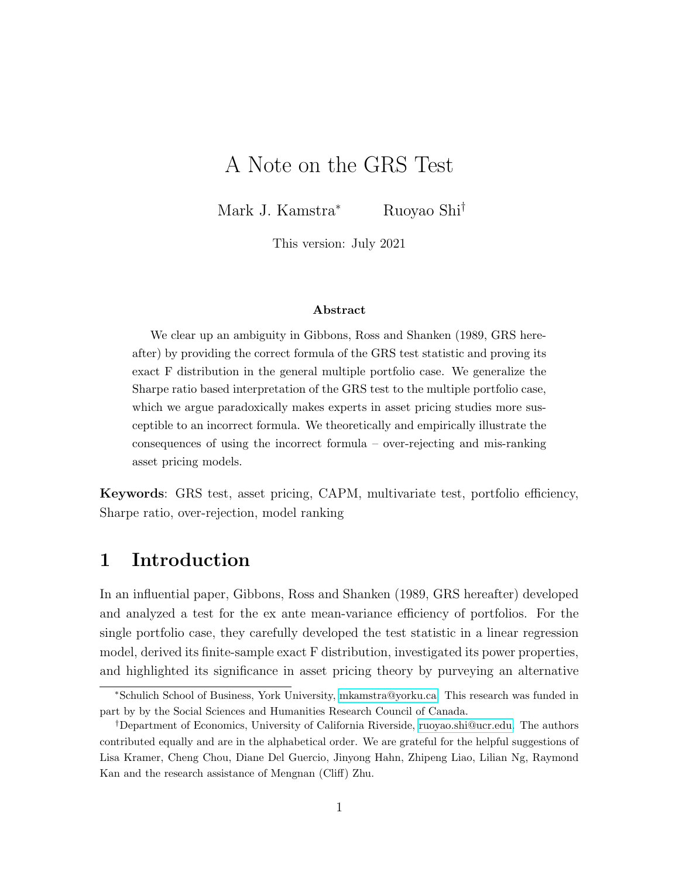# <span id="page-0-0"></span>A Note on the GRS Test

Mark J. Kamstra<sup>∗</sup> Ruoyao Shi†

This version: July 2021

#### Abstract

We clear up an ambiguity in Gibbons, Ross and Shanken (1989, GRS hereafter) by providing the correct formula of the GRS test statistic and proving its exact F distribution in the general multiple portfolio case. We generalize the Sharpe ratio based interpretation of the GRS test to the multiple portfolio case, which we argue paradoxically makes experts in asset pricing studies more susceptible to an incorrect formula. We theoretically and empirically illustrate the consequences of using the incorrect formula – over-rejecting and mis-ranking asset pricing models.

Keywords: GRS test, asset pricing, CAPM, multivariate test, portfolio efficiency, Sharpe ratio, over-rejection, model ranking

### 1 Introduction

In an influential paper, Gibbons, Ross and Shanken (1989, GRS hereafter) developed and analyzed a test for the ex ante mean-variance efficiency of portfolios. For the single portfolio case, they carefully developed the test statistic in a linear regression model, derived its finite-sample exact F distribution, investigated its power properties, and highlighted its significance in asset pricing theory by purveying an alternative

<sup>∗</sup>Schulich School of Business, York University, [mkamstra@yorku.ca.](mailto:mkamstra@yorku.ca) This research was funded in part by by the Social Sciences and Humanities Research Council of Canada.

<sup>†</sup>Department of Economics, University of California Riverside, [ruoyao.shi@ucr.edu.](mailto:ruoyao.shi@ucr.edu) The authors contributed equally and are in the alphabetical order. We are grateful for the helpful suggestions of Lisa Kramer, Cheng Chou, Diane Del Guercio, Jinyong Hahn, Zhipeng Liao, Lilian Ng, Raymond Kan and the research assistance of Mengnan (Cliff) Zhu.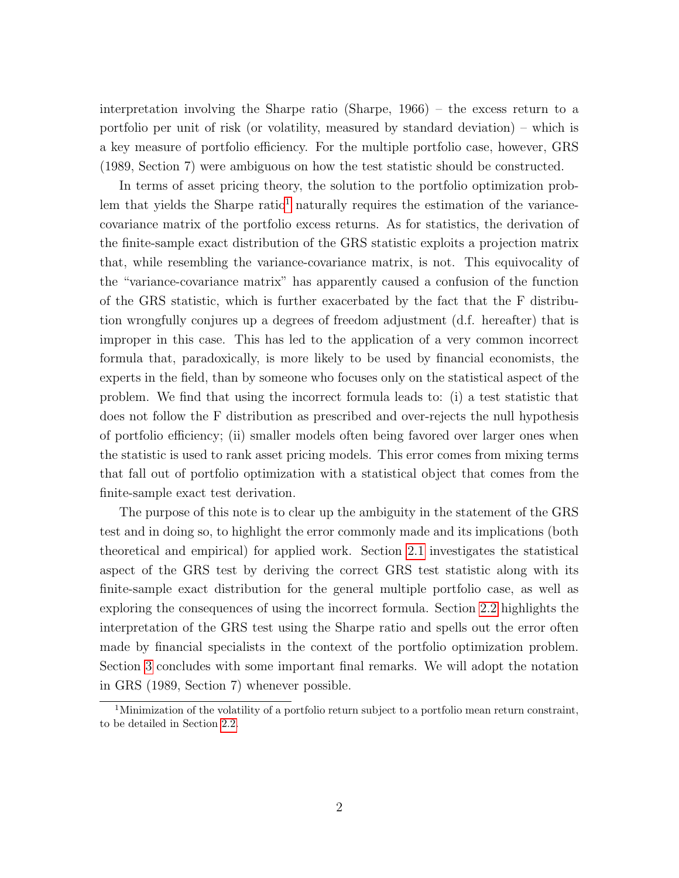interpretation involving the Sharpe ratio (Sharpe, 1966) – the excess return to a portfolio per unit of risk (or volatility, measured by standard deviation) – which is a key measure of portfolio efficiency. For the multiple portfolio case, however, GRS (1989, Section 7) were ambiguous on how the test statistic should be constructed.

In terms of asset pricing theory, the solution to the portfolio optimization prob-lem that yields the Sharpe ratio<sup>[1](#page-0-0)</sup> naturally requires the estimation of the variancecovariance matrix of the portfolio excess returns. As for statistics, the derivation of the finite-sample exact distribution of the GRS statistic exploits a projection matrix that, while resembling the variance-covariance matrix, is not. This equivocality of the "variance-covariance matrix" has apparently caused a confusion of the function of the GRS statistic, which is further exacerbated by the fact that the F distribution wrongfully conjures up a degrees of freedom adjustment (d.f. hereafter) that is improper in this case. This has led to the application of a very common incorrect formula that, paradoxically, is more likely to be used by financial economists, the experts in the field, than by someone who focuses only on the statistical aspect of the problem. We find that using the incorrect formula leads to: (i) a test statistic that does not follow the F distribution as prescribed and over-rejects the null hypothesis of portfolio efficiency; (ii) smaller models often being favored over larger ones when the statistic is used to rank asset pricing models. This error comes from mixing terms that fall out of portfolio optimization with a statistical object that comes from the finite-sample exact test derivation.

The purpose of this note is to clear up the ambiguity in the statement of the GRS test and in doing so, to highlight the error commonly made and its implications (both theoretical and empirical) for applied work. Section [2.1](#page-2-0) investigates the statistical aspect of the GRS test by deriving the correct GRS test statistic along with its finite-sample exact distribution for the general multiple portfolio case, as well as exploring the consequences of using the incorrect formula. Section [2.2](#page-6-0) highlights the interpretation of the GRS test using the Sharpe ratio and spells out the error often made by financial specialists in the context of the portfolio optimization problem. Section [3](#page-8-0) concludes with some important final remarks. We will adopt the notation in GRS (1989, Section 7) whenever possible.

<sup>&</sup>lt;sup>1</sup>Minimization of the volatility of a portfolio return subject to a portfolio mean return constraint, to be detailed in Section [2.2.](#page-6-0)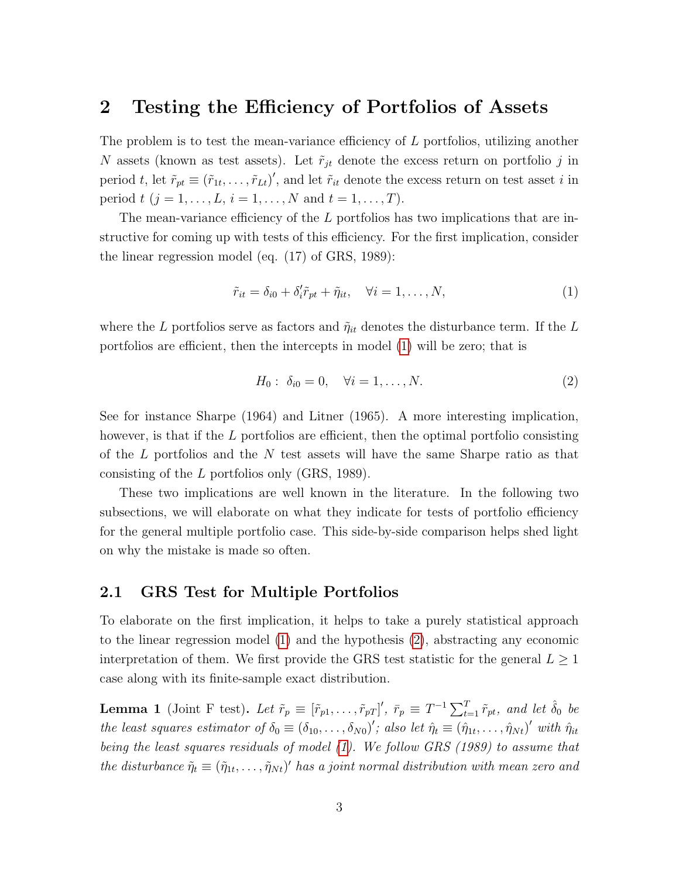# 2 Testing the Efficiency of Portfolios of Assets

The problem is to test the mean-variance efficiency of L portfolios, utilizing another N assets (known as test assets). Let  $\tilde{r}_{jt}$  denote the excess return on portfolio j in period t, let  $\tilde{r}_{pt} \equiv (\tilde{r}_{1t}, \ldots, \tilde{r}_{Lt})'$ , and let  $\tilde{r}_{it}$  denote the excess return on test asset i in period  $t (j = 1, ..., L, i = 1, ..., N$  and  $t = 1, ..., T$ ).

The mean-variance efficiency of the L portfolios has two implications that are instructive for coming up with tests of this efficiency. For the first implication, consider the linear regression model (eq. (17) of GRS, 1989):

<span id="page-2-1"></span>
$$
\tilde{r}_{it} = \delta_{i0} + \delta'_{i}\tilde{r}_{pt} + \tilde{\eta}_{it}, \quad \forall i = 1, \dots, N,
$$
\n(1)

where the L portfolios serve as factors and  $\tilde{\eta}_{it}$  denotes the disturbance term. If the L portfolios are efficient, then the intercepts in model [\(1\)](#page-2-1) will be zero; that is

<span id="page-2-2"></span>
$$
H_0: \ \delta_{i0} = 0, \quad \forall i = 1, \dots, N. \tag{2}
$$

See for instance Sharpe (1964) and Litner (1965). A more interesting implication, however, is that if the L portfolios are efficient, then the optimal portfolio consisting of the L portfolios and the N test assets will have the same Sharpe ratio as that consisting of the L portfolios only (GRS, 1989).

These two implications are well known in the literature. In the following two subsections, we will elaborate on what they indicate for tests of portfolio efficiency for the general multiple portfolio case. This side-by-side comparison helps shed light on why the mistake is made so often.

### <span id="page-2-0"></span>2.1 GRS Test for Multiple Portfolios

To elaborate on the first implication, it helps to take a purely statistical approach to the linear regression model [\(1\)](#page-2-1) and the hypothesis [\(2\)](#page-2-2), abstracting any economic interpretation of them. We first provide the GRS test statistic for the general  $L \geq 1$ case along with its finite-sample exact distribution.

<span id="page-2-3"></span>**Lemma 1** (Joint F test). Let  $\tilde{r}_p \equiv [\tilde{r}_{p1}, \ldots, \tilde{r}_{pT}]'$ ,  $\bar{r}_p \equiv T^{-1} \sum_{t=1}^T \tilde{r}_{pt}$ , and let  $\hat{\delta}_0$  be the least squares estimator of  $\delta_0 \equiv (\delta_{10}, \ldots, \delta_{N0})'$ ; also let  $\hat{\eta}_t \equiv (\hat{\eta}_{1t}, \ldots, \hat{\eta}_{Nt})'$  with  $\hat{\eta}_{it}$ being the least squares residuals of model [\(1\)](#page-2-1). We follow GRS (1989) to assume that the disturbance  $\tilde{\eta}_t \equiv (\tilde{\eta}_{1t}, \ldots, \tilde{\eta}_{Nt})'$  has a joint normal distribution with mean zero and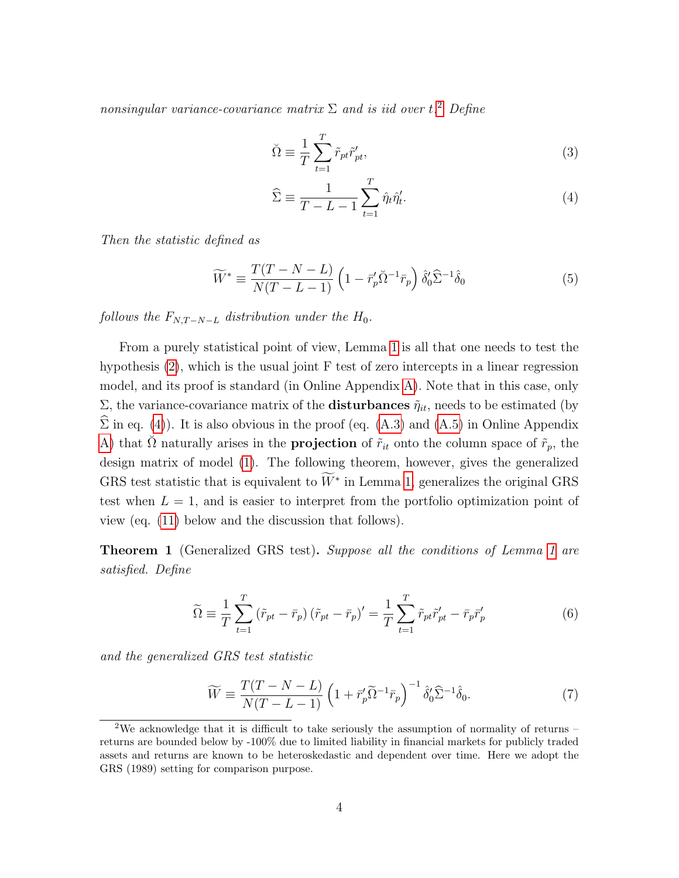nonsingular variance-covariance matrix  $\Sigma$  and is iid over t.<sup>[2](#page-0-0)</sup> Define

$$
\breve{\Omega} \equiv \frac{1}{T} \sum_{t=1}^{T} \tilde{r}_{pt} \tilde{r}'_{pt},\tag{3}
$$

<span id="page-3-4"></span><span id="page-3-0"></span>
$$
\widehat{\Sigma} \equiv \frac{1}{T - L - 1} \sum_{t=1}^{T} \widehat{\eta}_t \widehat{\eta}_t'. \tag{4}
$$

Then the statistic defined as

<span id="page-3-5"></span>
$$
\widetilde{W}^* \equiv \frac{T(T - N - L)}{N(T - L - 1)} \left( 1 - \overline{r}_p' \check{\Omega}^{-1} \overline{r}_p \right) \hat{\delta}_0' \widehat{\Sigma}^{-1} \hat{\delta}_0 \tag{5}
$$

follows the  $F_{N,T-N-L}$  distribution under the  $H_0$ .

From a purely statistical point of view, Lemma [1](#page-2-3) is all that one needs to test the hypothesis [\(2\)](#page-2-2), which is the usual joint F test of zero intercepts in a linear regression model, and its proof is standard (in Online Appendix [A\)](#page-10-0). Note that in this case, only Σ, the variance-covariance matrix of the **disturbances**  $\tilde{\eta}_{it}$ , needs to be estimated (by  $\hat{\Sigma}$  in eq. [\(4\)](#page-3-0)). It is also obvious in the proof (eq. [\(A.3\)](#page-11-0) and [\(A.5\)](#page-12-0) in Online Appendix [A\)](#page-10-0) that  $\check{\Omega}$  naturally arises in the **projection** of  $\tilde{r}_{it}$  onto the column space of  $\tilde{r}_p$ , the design matrix of model [\(1\)](#page-2-1). The following theorem, however, gives the generalized GRS test statistic that is equivalent to  $\tilde{W}^*$  in Lemma [1,](#page-2-3) generalizes the original GRS test when  $L = 1$ , and is easier to interpret from the portfolio optimization point of view (eq. [\(11\)](#page-7-0) below and the discussion that follows).

<span id="page-3-3"></span>Theorem [1](#page-2-3) (Generalized GRS test). Suppose all the conditions of Lemma 1 are satisfied. Define

<span id="page-3-2"></span>
$$
\widetilde{\Omega} \equiv \frac{1}{T} \sum_{t=1}^{T} \left( \widetilde{r}_{pt} - \overline{r}_{p} \right) \left( \widetilde{r}_{pt} - \overline{r}_{p} \right)' = \frac{1}{T} \sum_{t=1}^{T} \widetilde{r}_{pt} \widetilde{r}_{pt}' - \overline{r}_{p} \overline{r}_{p}' \tag{6}
$$

and the generalized GRS test statistic

<span id="page-3-1"></span>
$$
\widetilde{W} \equiv \frac{T(T - N - L)}{N(T - L - 1)} \left( 1 + \overline{r}_p' \widetilde{\Omega}^{-1} \overline{r}_p \right)^{-1} \hat{\delta}_0' \widehat{\Sigma}^{-1} \hat{\delta}_0. \tag{7}
$$

<sup>&</sup>lt;sup>2</sup>We acknowledge that it is difficult to take seriously the assumption of normality of returns – returns are bounded below by -100% due to limited liability in financial markets for publicly traded assets and returns are known to be heteroskedastic and dependent over time. Here we adopt the GRS (1989) setting for comparison purpose.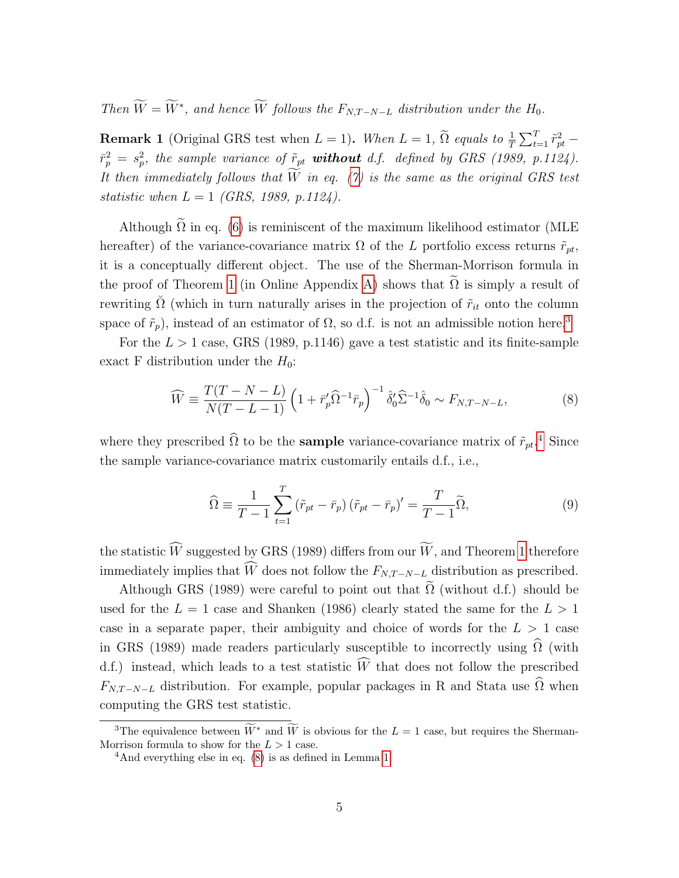Then  $\overline{W} = \overline{W}^*$ , and hence  $\overline{W}$  follows the  $F_{N,T-N-L}$  distribution under the  $H_0$ .

**Remark 1** (Original GRS test when  $L = 1$ ). When  $L = 1$ ,  $\tilde{\Omega}$  equals to  $\frac{1}{T} \sum_{t=1}^{T} \tilde{r}_{pt}^2$  –  $\bar{r}_p^2 = s_p^2$ , the sample variance of  $\tilde{r}_{pt}$  **without** d.f. defined by GRS (1989, p.1124). It then immediately follows that  $W$  in eq. [\(7\)](#page-3-1) is the same as the original GRS test statistic when  $L = 1$  (GRS, 1989, p.1124).

Although  $\tilde{\Omega}$  in eq. [\(6\)](#page-3-2) is reminiscent of the maximum likelihood estimator (MLE hereafter) of the variance-covariance matrix  $\Omega$  of the L portfolio excess returns  $\tilde{r}_{pt}$ , it is a conceptually different object. The use of the Sherman-Morrison formula in the proof of Theorem [1](#page-3-3) (in Online Appendix [A\)](#page-10-0) shows that  $\Omega$  is simply a result of rewriting  $\check{\Omega}$  (which in turn naturally arises in the projection of  $\tilde{r}_{it}$  onto the column space of  $\tilde{r}_p$ ), instead of an estimator of  $\Omega$ , so d.f. is not an admissible notion here.<sup>[3](#page-0-0)</sup>

For the  $L > 1$  case, GRS (1989, p.1146) gave a test statistic and its finite-sample exact F distribution under the  $H_0$ :

<span id="page-4-0"></span>
$$
\widehat{W} \equiv \frac{T(T - N - L)}{N(T - L - 1)} \left( 1 + \bar{r}_p' \widehat{\Omega}^{-1} \bar{r}_p \right)^{-1} \hat{\delta}_0' \widehat{\Sigma}^{-1} \hat{\delta}_0 \sim F_{N, T - N - L},
$$
\n(8)

where they prescribed  $\hat{\Omega}$  to be the **sample** variance-covariance matrix of  $\tilde{r}_{pt}$ <sup>[4](#page-0-0)</sup>. Since the sample variance-covariance matrix customarily entails d.f., i.e.,

<span id="page-4-1"></span>
$$
\widehat{\Omega} \equiv \frac{1}{T-1} \sum_{t=1}^{T} \left( \widetilde{r}_{pt} - \overline{r}_{p} \right) \left( \widetilde{r}_{pt} - \overline{r}_{p} \right)' = \frac{T}{T-1} \widetilde{\Omega},\tag{9}
$$

the statistic  $\widehat{W}$  suggested by GRS (1989) differs from our  $\widetilde{W}$ , and Theorem [1](#page-3-3) therefore immediately implies that  $\widehat{W}$  does not follow the  $F_{N,T-N-L}$  distribution as prescribed.

Although GRS (1989) were careful to point out that  $\widetilde{\Omega}$  (without d.f.) should be used for the  $L = 1$  case and Shanken (1986) clearly stated the same for the  $L > 1$ case in a separate paper, their ambiguity and choice of words for the  $L > 1$  case in GRS (1989) made readers particularly susceptible to incorrectly using  $\widehat{\Omega}$  (with d.f.) instead, which leads to a test statistic  $\widehat{W}$  that does not follow the prescribed  $F_{N,T-N-L}$  distribution. For example, popular packages in R and Stata use  $\widehat{\Omega}$  when computing the GRS test statistic.

<sup>&</sup>lt;sup>3</sup>The equivalence between  $\widetilde{W}^*$  and  $\widetilde{W}$  is obvious for the  $L = 1$  case, but requires the Sherman-Morrison formula to show for the  $L > 1$  case.

<sup>&</sup>lt;sup>4</sup>And everything else in eq.  $(8)$  is as defined in Lemma [1.](#page-2-3)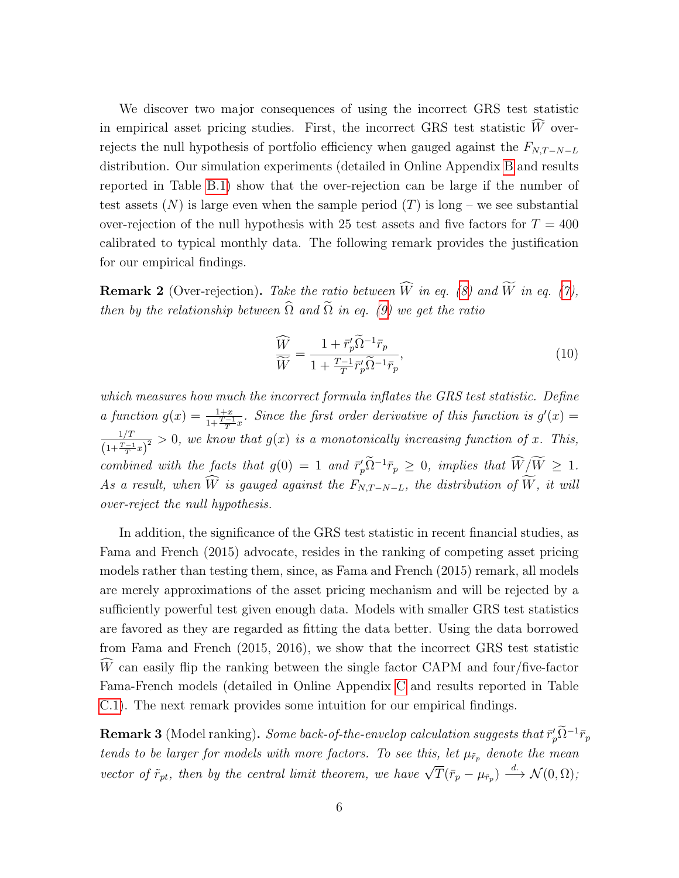We discover two major consequences of using the incorrect GRS test statistic in empirical asset pricing studies. First, the incorrect GRS test statistic  $\widehat{W}$  overrejects the null hypothesis of portfolio efficiency when gauged against the  $F_{N,T-N-L}$ distribution. Our simulation experiments (detailed in Online Appendix [B](#page-12-1) and results reported in Table [B.1\)](#page-13-0) show that the over-rejection can be large if the number of test assets  $(N)$  is large even when the sample period  $(T)$  is long – we see substantial over-rejection of the null hypothesis with 25 test assets and five factors for  $T = 400$ calibrated to typical monthly data. The following remark provides the justification for our empirical findings.

<span id="page-5-0"></span>**Remark 2** (Over-rejection). Take the ratio between  $\widehat{W}$  in eq. [\(8\)](#page-4-0) and  $\widetilde{W}$  in eq. [\(7\)](#page-3-1), then by the relationship between  $\widehat{\Omega}$  and  $\widetilde{\Omega}$  in eq. [\(9\)](#page-4-1) we get the ratio

<span id="page-5-1"></span>
$$
\frac{\widehat{W}}{\widetilde{W}} = \frac{1 + \bar{r}_p' \widetilde{\Omega}^{-1} \bar{r}_p}{1 + \frac{T-1}{T} \bar{r}_p' \widetilde{\Omega}^{-1} \bar{r}_p},\tag{10}
$$

which measures how much the incorrect formula inflates the GRS test statistic. Define a function  $g(x) = \frac{1+x}{1+\frac{T-1}{T}}$ . Since the first order derivative of this function is  $g'(x) =$  $1/T \sim 0$  and  $\frac{1+T}{T}$  $\frac{1}{1+\frac{T-1}{T}x^2} > 0$ , we know that  $g(x)$  is a monotonically increasing function of x. This, combined with the facts that  $g(0) = 1$  and  $\bar{r}'_p \tilde{\Omega}^{-1} \bar{r}_p \geq 0$ , implies that  $\widetilde{W}/\widetilde{W} \geq 1$ . As a result, when  $\widehat{W}$  is gauged against the  $F_{N,T-N-L}$ , the distribution of  $\widetilde{W}$ , it will over-reject the null hypothesis.

In addition, the significance of the GRS test statistic in recent financial studies, as Fama and French (2015) advocate, resides in the ranking of competing asset pricing models rather than testing them, since, as Fama and French (2015) remark, all models are merely approximations of the asset pricing mechanism and will be rejected by a sufficiently powerful test given enough data. Models with smaller GRS test statistics are favored as they are regarded as fitting the data better. Using the data borrowed from Fama and French (2015, 2016), we show that the incorrect GRS test statistic  $\widehat{W}$  can easily flip the ranking between the single factor CAPM and four/five-factor Fama-French models (detailed in Online Appendix [C](#page-13-1) and results reported in Table [C.1\)](#page-14-0). The next remark provides some intuition for our empirical findings.

**Remark 3** (Model ranking). Some back-of-the-envelop calculation suggests that  $\bar{r}'_p \tilde{\Omega}^{-1} \bar{r}_p$ tends to be larger for models with more factors. To see this, let  $\mu_{\tilde{r}_p}$  denote the mean vector of  $\tilde{r}_{pt}$ , then by the central limit theorem, we have  $\sqrt{T}(\bar{r}_p - \mu_{\tilde{r}_p}) \stackrel{d}{\longrightarrow} \mathcal{N}(0, \Omega)$ ;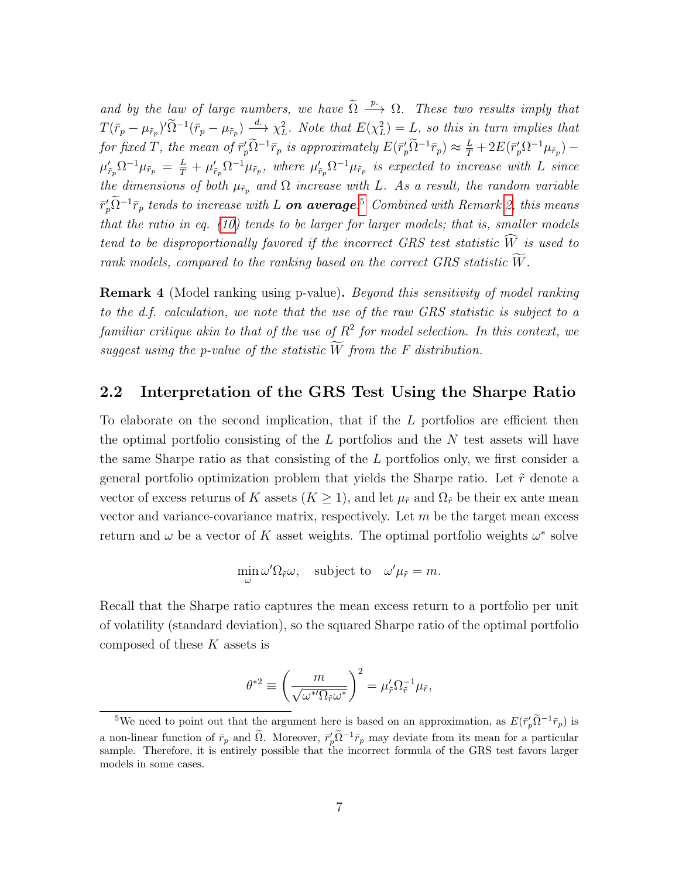and by the law of large numbers, we have  $\widetilde{\Omega} \stackrel{p}{\longrightarrow} \Omega$ . These two results imply that  $T(\bar{r}_p - \mu_{\tilde{r}_p}) \to \infty^d$  and  $\chi_L^2$ . Note that  $E(\chi_L^2) = L$ , so this in turn implies that for fixed T, the mean of  $\bar{r}'_p \Omega^{-1} \bar{r}_p$  is approximately  $E(\bar{r}'_p \Omega^{-1} \bar{r}_p) \approx \frac{L}{T} + 2E(\bar{r}'_p \Omega^{-1} \mu_{\tilde{r}_p}) \mu_{\tilde{r}_p}' \Omega^{-1} \mu_{\tilde{r}_p} = \frac{L}{T} + \mu_{\tilde{r}_p}' \Omega^{-1} \mu_{\tilde{r}_p}$ , where  $\mu_{\tilde{r}_p}' \Omega^{-1} \mu_{\tilde{r}_p}$  is expected to increase with L since the dimensions of both  $\mu_{\tilde{r}_p}$  and  $\Omega$  increase with L. As a result, the random variable  $\bar{r}_p'\tilde{\Omega}^{-1}\bar{r}_p$  tends to increase with L **on average**.<sup>[5](#page-0-0)</sup> Combined with Remark [2,](#page-5-0) this means that the ratio in eq. [\(10\)](#page-5-1) tends to be larger for larger models; that is, smaller models tend to be disproportionally favored if the incorrect GRS test statistic  $\widehat{W}$  is used to rank models, compared to the ranking based on the correct GRS statistic  $\widetilde{W}$ .

**Remark 4** (Model ranking using p-value). Beyond this sensitivity of model ranking to the d.f. calculation, we note that the use of the raw GRS statistic is subject to a familiar critique akin to that of the use of  $R^2$  for model selection. In this context, we suggest using the p-value of the statistic  $\tilde{W}$  from the F distribution.

### <span id="page-6-0"></span>2.2 Interpretation of the GRS Test Using the Sharpe Ratio

To elaborate on the second implication, that if the L portfolios are efficient then the optimal portfolio consisting of the  $L$  portfolios and the  $N$  test assets will have the same Sharpe ratio as that consisting of the L portfolios only, we first consider a general portfolio optimization problem that yields the Sharpe ratio. Let  $\tilde{r}$  denote a vector of excess returns of K assets  $(K \geq 1)$ , and let  $\mu_{\tilde{r}}$  and  $\Omega_{\tilde{r}}$  be their ex ante mean vector and variance-covariance matrix, respectively. Let  $m$  be the target mean excess return and  $\omega$  be a vector of K asset weights. The optimal portfolio weights  $\omega^*$  solve

$$
\min_{\omega} \omega' \Omega_{\tilde{r}} \omega, \text{ subject to } \omega' \mu_{\tilde{r}} = m.
$$

Recall that the Sharpe ratio captures the mean excess return to a portfolio per unit of volatility (standard deviation), so the squared Sharpe ratio of the optimal portfolio composed of these K assets is

$$
\theta^{*2} \equiv \left(\frac{m}{\sqrt{\omega^{*'}\Omega_{\tilde r}\omega^{*}}}\right)^2 = \mu'_{\tilde r}\Omega_{\tilde r}^{-1}\mu_{\tilde r},
$$

<sup>&</sup>lt;sup>5</sup>We need to point out that the argument here is based on an approximation, as  $E(\bar{r}'_p\tilde{\Omega}^{-1}\bar{r}_p)$  is a non-linear function of  $\bar{r}_p$  and  $\tilde{\Omega}$ . Moreover,  $\bar{r}'_p \tilde{\Omega}^{-1} \bar{r}_p$  may deviate from its mean for a particular sample. Therefore, it is entirely possible that the incorrect formula of the GRS test favors larger models in some cases.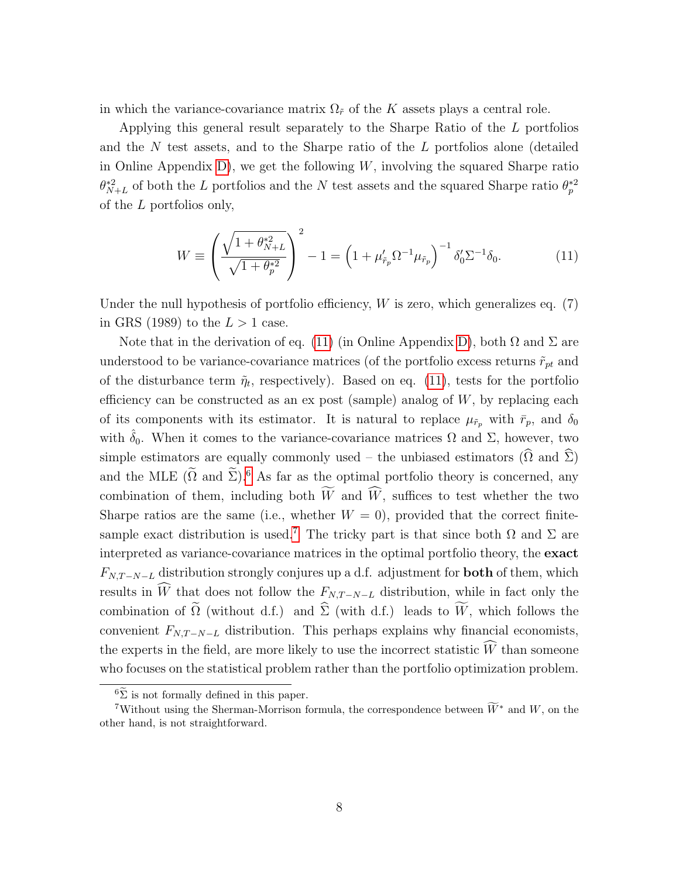in which the variance-covariance matrix  $\Omega_{\tilde{r}}$  of the K assets plays a central role.

Applying this general result separately to the Sharpe Ratio of the L portfolios and the N test assets, and to the Sharpe ratio of the L portfolios alone (detailed in Online Appendix [D\)](#page-15-0), we get the following  $W$ , involving the squared Sharpe ratio  $\theta_{N+L}^{*2}$  of both the L portfolios and the N test assets and the squared Sharpe ratio  $\theta_p^{*2}$ of the L portfolios only,

<span id="page-7-0"></span>
$$
W \equiv \left(\frac{\sqrt{1 + \theta_{N+L}^{*2}}}{\sqrt{1 + \theta_p^{*2}}}\right)^2 - 1 = \left(1 + \mu_{\tilde{r}_p}' \Omega^{-1} \mu_{\tilde{r}_p}\right)^{-1} \delta_0' \Sigma^{-1} \delta_0.
$$
 (11)

Under the null hypothesis of portfolio efficiency,  $W$  is zero, which generalizes eq.  $(7)$ in GRS (1989) to the  $L > 1$  case.

Note that in the derivation of eq. [\(11\)](#page-7-0) (in Online Appendix [D\)](#page-15-0), both  $\Omega$  and  $\Sigma$  are understood to be variance-covariance matrices (of the portfolio excess returns  $\tilde{r}_{pt}$  and of the disturbance term  $\tilde{\eta}_t$ , respectively). Based on eq. [\(11\)](#page-7-0), tests for the portfolio efficiency can be constructed as an ex post (sample) analog of  $W$ , by replacing each of its components with its estimator. It is natural to replace  $\mu_{\tilde{r}_p}$  with  $\bar{r}_p$ , and  $\delta_0$ with  $\hat{\delta}_0$ . When it comes to the variance-covariance matrices  $\Omega$  and  $\Sigma$ , however, two simple estimators are equally commonly used – the unbiased estimators  $(\widehat{\Omega}$  and  $\widehat{\Sigma})$ and the MLE  $(\Omega \text{ and } \Sigma)$ .<sup>[6](#page-0-0)</sup> As far as the optimal portfolio theory is concerned, any combination of them, including both  $\widetilde{W}$  and  $\widehat{W}$ , suffices to test whether the two Sharpe ratios are the same (i.e., whether  $W = 0$ ), provided that the correct finite-sample exact distribution is used.<sup>[7](#page-0-0)</sup> The tricky part is that since both  $\Omega$  and  $\Sigma$  are interpreted as variance-covariance matrices in the optimal portfolio theory, the exact  $F_{N,T-N-L}$  distribution strongly conjures up a d.f. adjustment for **both** of them, which results in  $\widehat{W}$  that does not follow the  $F_{N,T-N-L}$  distribution, while in fact only the combination of  $\tilde{\Omega}$  (without d.f.) and  $\hat{\Sigma}$  (with d.f.) leads to  $\widetilde{W}$ , which follows the convenient  $F_{N,T-N-L}$  distribution. This perhaps explains why financial economists, the experts in the field, are more likely to use the incorrect statistic  $\widehat{W}$  than someone who focuses on the statistical problem rather than the portfolio optimization problem.

 ${}^{6}\tilde{\Sigma}$  is not formally defined in this paper.

<sup>&</sup>lt;sup>7</sup>Without using the Sherman-Morrison formula, the correspondence between  $\widetilde{W}^*$  and W, on the other hand, is not straightforward.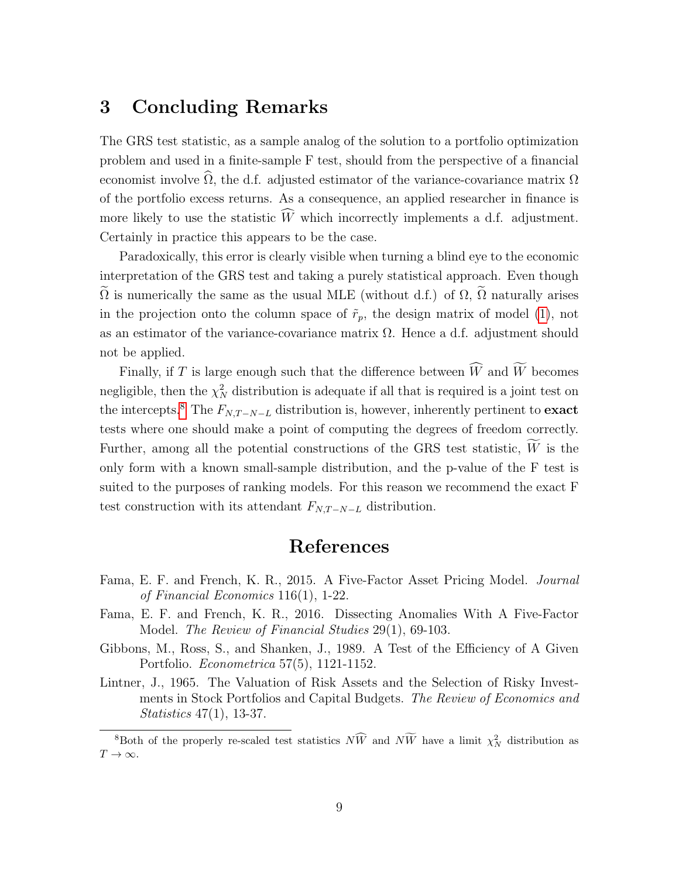## <span id="page-8-0"></span>3 Concluding Remarks

The GRS test statistic, as a sample analog of the solution to a portfolio optimization problem and used in a finite-sample F test, should from the perspective of a financial economist involve  $\widehat{\Omega}$ , the d.f. adjusted estimator of the variance-covariance matrix  $\Omega$ of the portfolio excess returns. As a consequence, an applied researcher in finance is more likely to use the statistic  $\widehat{W}$  which incorrectly implements a d.f. adjustment. Certainly in practice this appears to be the case.

Paradoxically, this error is clearly visible when turning a blind eye to the economic interpretation of the GRS test and taking a purely statistical approach. Even though  $\tilde{\Omega}$  is numerically the same as the usual MLE (without d.f.) of  $\Omega$ ,  $\tilde{\Omega}$  naturally arises in the projection onto the column space of  $\tilde{r}_p$ , the design matrix of model [\(1\)](#page-2-1), not as an estimator of the variance-covariance matrix  $\Omega$ . Hence a d.f. adjustment should not be applied.

Finally, if  $T$  is large enough such that the difference between  $\widehat{W}$  and  $\widetilde{W}$  becomes negligible, then the  $\chi^2_N$  distribution is adequate if all that is required is a joint test on the intercepts.<sup>[8](#page-0-0)</sup> The  $F_{N,T-N-L}$  distribution is, however, inherently pertinent to **exact** tests where one should make a point of computing the degrees of freedom correctly. Further, among all the potential constructions of the GRS test statistic,  $\widetilde{W}$  is the only form with a known small-sample distribution, and the p-value of the F test is suited to the purposes of ranking models. For this reason we recommend the exact F test construction with its attendant  $F_{N,T-N-L}$  distribution.

### References

- Fama, E. F. and French, K. R., 2015. A Five-Factor Asset Pricing Model. Journal of Financial Economics 116(1), 1-22.
- Fama, E. F. and French, K. R., 2016. Dissecting Anomalies With A Five-Factor Model. The Review of Financial Studies 29(1), 69-103.
- Gibbons, M., Ross, S., and Shanken, J., 1989. A Test of the Efficiency of A Given Portfolio. Econometrica 57(5), 1121-1152.
- Lintner, J., 1965. The Valuation of Risk Assets and the Selection of Risky Investments in Stock Portfolios and Capital Budgets. The Review of Economics and Statistics 47(1), 13-37.

<sup>&</sup>lt;sup>8</sup>Both of the properly re-scaled test statistics  $N\hat{W}$  and  $N\hat{W}$  have a limit  $\chi^2_N$  distribution as  $T\to\infty$ .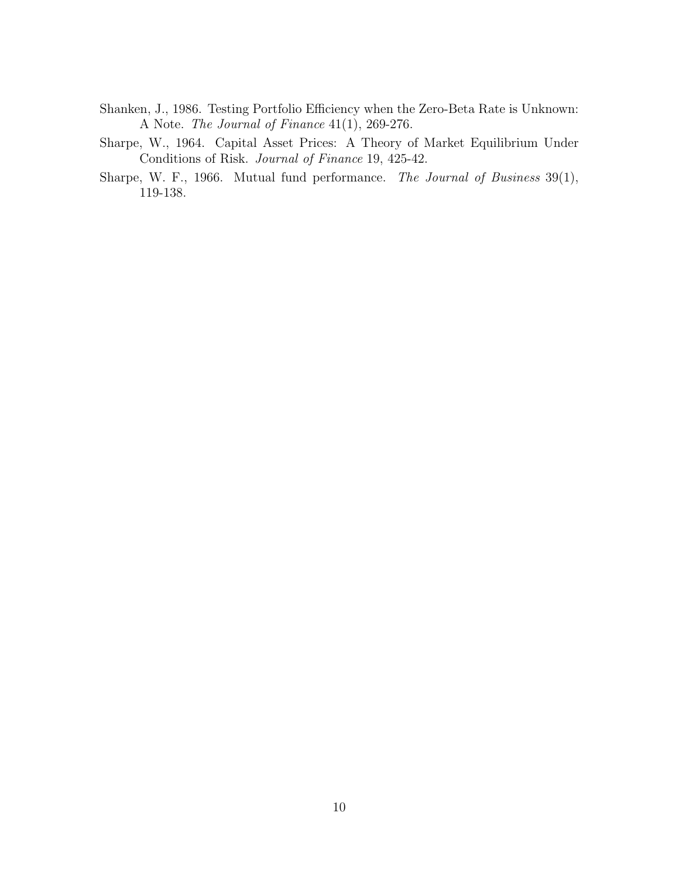- Shanken, J., 1986. Testing Portfolio Efficiency when the Zero-Beta Rate is Unknown: A Note. The Journal of Finance 41(1), 269-276.
- Sharpe, W., 1964. Capital Asset Prices: A Theory of Market Equilibrium Under Conditions of Risk. Journal of Finance 19, 425-42.
- Sharpe, W. F., 1966. Mutual fund performance. The Journal of Business 39(1), 119-138.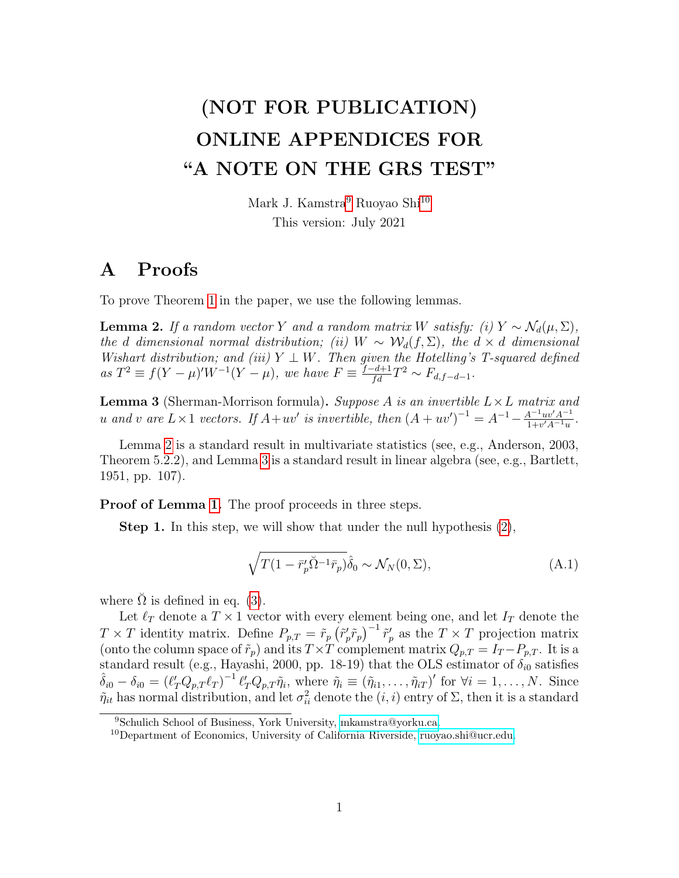# (NOT FOR PUBLICATION) ONLINE APPENDICES FOR "A NOTE ON THE GRS TEST"

Mark J. Kamstra<sup>[9](#page-0-0)</sup> Ruoyao Shi<sup>[10](#page-0-0)</sup> This version: July 2021

### <span id="page-10-0"></span>A Proofs

<span id="page-10-1"></span>To prove Theorem [1](#page-3-3) in the paper, we use the following lemmas.

**Lemma 2.** If a random vector Y and a random matrix W satisfy: (i)  $Y \sim \mathcal{N}_d(\mu, \Sigma)$ , the d dimensional normal distribution; (ii) W ~  $\mathcal{W}_d(f, \Sigma)$ , the  $d \times d$  dimensional Wishart distribution; and (iii)  $Y \perp W$ . Then given the Hotelling's T-squared defined  $as T^2 \equiv f(Y - \mu)'W^{-1}(Y - \mu)$ , we have  $F \equiv \frac{f - d + 1}{fd}T^2 \sim F_{d,f-d-1}$ .

<span id="page-10-2"></span>**Lemma 3** (Sherman-Morrison formula). Suppose A is an invertible  $L \times L$  matrix and u and v are  $L \times 1$  vectors. If  $A + uv'$  is invertible, then  $(A + uv')^{-1} = A^{-1} - \frac{A^{-1}uv'A^{-1}}{1 + v'A^{-1}uv'}$  $\frac{4^{-1}uv' A^{-1}}{1+v' A^{-1}u}.$ 

Lemma [2](#page-10-1) is a standard result in multivariate statistics (see, e.g., Anderson, 2003, Theorem 5.2.2), and Lemma [3](#page-10-2) is a standard result in linear algebra (see, e.g., Bartlett, 1951, pp. 107).

**Proof of Lemma [1.](#page-3-3)** The proof proceeds in three steps.

Step 1. In this step, we will show that under the null hypothesis [\(2\)](#page-2-2),

<span id="page-10-3"></span>
$$
\sqrt{T(1 - \bar{r}_p' \check{\Omega}^{-1} \bar{r}_p)} \hat{\delta}_0 \sim \mathcal{N}_N(0, \Sigma), \tag{A.1}
$$

where  $\check{\Omega}$  is defined in eq. [\(3\)](#page-3-4).

Let  $\ell_T$  denote a  $T \times 1$  vector with every element being one, and let  $I_T$  denote the  $T \times T$  identity matrix. Define  $P_{p,T} = \tilde{r}_p (\tilde{r}'_p \tilde{r}_p)^{-1} \tilde{r}'_p$  as the  $T \times T$  projection matrix (onto the column space of  $\tilde{r}_p$ ) and its  $T \times T$  complement matrix  $Q_{p,T} = I_T - P_{p,T}$ . It is a standard result (e.g., Hayashi, 2000, pp. 18-19) that the OLS estimator of  $\delta_{i0}$  satisfies  $\hat{\delta}_{i0} - \delta_{i0} = (\ell'_T Q_{p,T} \ell_T)^{-1} \ell'_T Q_{p,T} \tilde{\eta}_i$ , where  $\tilde{\eta}_i \equiv (\tilde{\eta}_{i1}, \ldots, \tilde{\eta}_{iT})'$  for  $\forall i = 1, \ldots, N$ . Since  $\tilde{\eta}_{it}$  has normal distribution, and let  $\sigma_{ii}^2$  denote the  $(i, i)$  entry of  $\Sigma$ , then it is a standard

<sup>9</sup>Schulich School of Business, York University, [mkamstra@yorku.ca.](mailto:mkamstra@yorku.ca)

<sup>&</sup>lt;sup>10</sup>Department of Economics, University of California Riverside, [ruoyao.shi@ucr.edu.](mailto:ruoyao.shi@ucr.edu)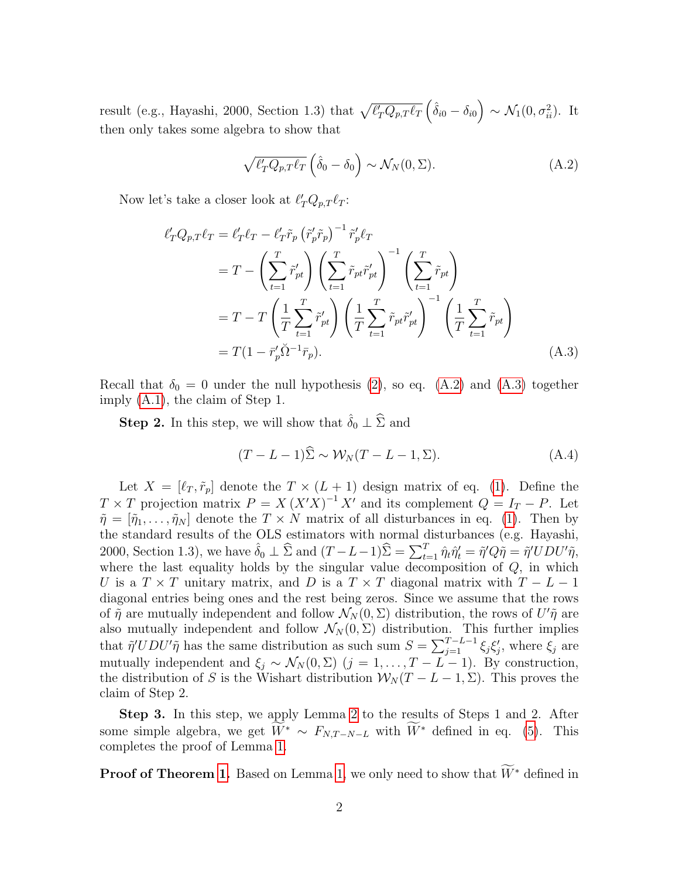result (e.g., Hayashi, 2000, Section 1.3) that  $\sqrt{\ell'_T Q_{p,T} \ell_T} \left(\hat{\delta}_{i0} - \delta_{i0}\right) \sim \mathcal{N}_1(0, \sigma_{ii}^2)$ . It then only takes some algebra to show that

<span id="page-11-1"></span>
$$
\sqrt{\ell'_T Q_{p,T} \ell_T} \left( \hat{\delta}_0 - \delta_0 \right) \sim \mathcal{N}_N(0, \Sigma). \tag{A.2}
$$

Now let's take a closer look at  $\ell'_T Q_{p,T} \ell_T$ :

$$
\ell'_{T}Q_{p,T}\ell_{T} = \ell'_{T}\ell_{T} - \ell'_{T}\tilde{r}_{p} \left(\tilde{r}'_{p}\tilde{r}_{p}\right)^{-1} \tilde{r}'_{p}\ell_{T}
$$
\n
$$
= T - \left(\sum_{t=1}^{T} \tilde{r}'_{pt}\right) \left(\sum_{t=1}^{T} \tilde{r}_{pt}\tilde{r}'_{pt}\right)^{-1} \left(\sum_{t=1}^{T} \tilde{r}_{pt}\right)
$$
\n
$$
= T - T \left(\frac{1}{T} \sum_{t=1}^{T} \tilde{r}'_{pt}\right) \left(\frac{1}{T} \sum_{t=1}^{T} \tilde{r}_{pt}\tilde{r}'_{pt}\right)^{-1} \left(\frac{1}{T} \sum_{t=1}^{T} \tilde{r}_{pt}\right)
$$
\n
$$
= T(1 - \tilde{r}'_{p}\tilde{\Omega}^{-1}\tilde{r}_{p}). \tag{A.3}
$$

Recall that  $\delta_0 = 0$  under the null hypothesis [\(2\)](#page-2-2), so eq. [\(A.2\)](#page-11-1) and [\(A.3\)](#page-11-0) together imply [\(A.1\)](#page-10-3), the claim of Step 1.

**Step 2.** In this step, we will show that  $\hat{\delta}_0 \perp \hat{\Sigma}$  and

<span id="page-11-0"></span>
$$
(T - L - 1)\Sigma \sim \mathcal{W}_N(T - L - 1, \Sigma). \tag{A.4}
$$

Let  $X = [\ell_T, \tilde{r}_p]$  denote the  $T \times (L + 1)$  design matrix of eq. [\(1\)](#page-2-1). Define the  $T \times T$  projection matrix  $P = X (X'X)^{-1} X'$  and its complement  $Q = I_T - P$ . Let  $\tilde{\eta} = [\tilde{\eta}_1, \ldots, \tilde{\eta}_N]$  denote the  $T \times N$  matrix of all disturbances in eq. [\(1\)](#page-2-1). Then by the standard results of the OLS estimators with normal disturbances (e.g. Hayashi, 2000, Section 1.3), we have  $\hat{\delta}_0 \perp \widehat{\Sigma}$  and  $(T - L - 1)\widehat{\Sigma} = \sum_{t=1}^T \hat{\eta}_t \hat{\eta}'_t = \tilde{\eta}' Q \tilde{\eta} = \tilde{\eta}' U D U' \tilde{\eta}$ , where the last equality holds by the singular value decomposition of  $Q$ , in which U is a  $T \times T$  unitary matrix, and D is a  $T \times T$  diagonal matrix with  $T - L - 1$ diagonal entries being ones and the rest being zeros. Since we assume that the rows of  $\tilde{\eta}$  are mutually independent and follow  $\mathcal{N}_N(0,\Sigma)$  distribution, the rows of  $U'\tilde{\eta}$  are also mutually independent and follow  $\mathcal{N}_N(0, \Sigma)$  distribution. This further implies that  $\tilde{\eta}' U D U' \tilde{\eta}$  has the same distribution as such sum  $S = \sum_{j=1}^{T-L-1} \xi_j \xi'_j$ , where  $\xi_j$  are mutually independent and  $\xi_j \sim \mathcal{N}_N(0, \Sigma)$   $(j = 1, \ldots, T - L - 1)$ . By construction, the distribution of S is the Wishart distribution  $W_N(T-L-1,\Sigma)$ . This proves the claim of Step 2.

Step 3. In this step, we apply Lemma [2](#page-10-1) to the results of Steps 1 and 2. After some simple algebra, we get  $\widetilde{W}^* \sim F_{N,T-N-L}$  with  $\widetilde{W}^*$  defined in eq. [\(5\)](#page-3-5). This completes the proof of Lemma [1.](#page-2-3)

**Proof of Theorem [1.](#page-3-3)** Based on Lemma [1,](#page-2-3) we only need to show that  $\widetilde{W}^*$  defined in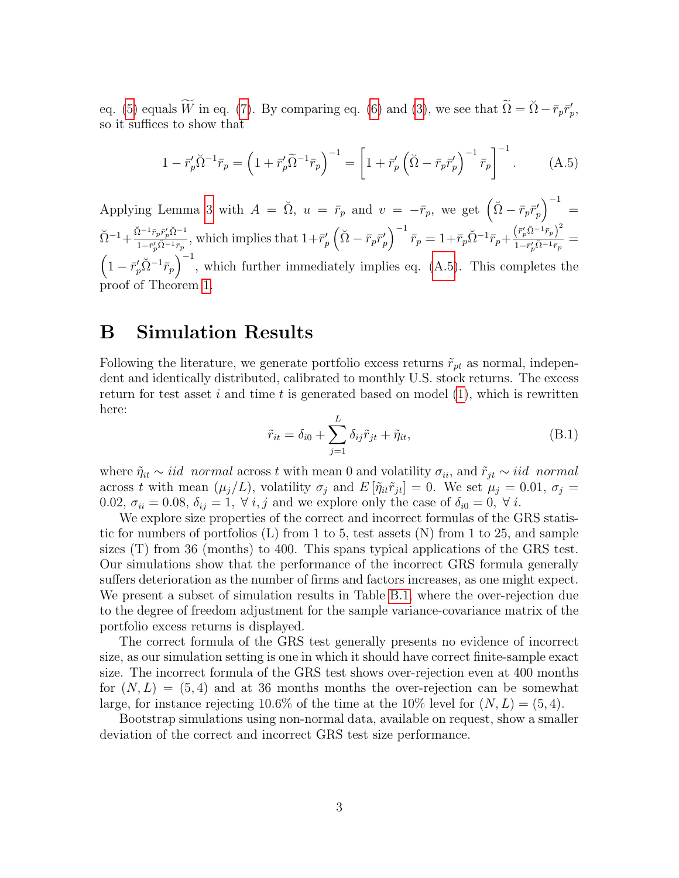eq. [\(5\)](#page-3-5) equals  $\widetilde{W}$  in eq. [\(7\)](#page-3-1). By comparing eq. [\(6\)](#page-3-2) and [\(3\)](#page-3-4), we see that  $\widetilde{\Omega} = \widetilde{\Omega} - \overline{r}_p \overline{r}'_p$ , so it suffices to show that

<span id="page-12-0"></span>
$$
1 - \bar{r}_p' \tilde{\Omega}^{-1} \bar{r}_p = \left( 1 + \bar{r}_p' \tilde{\Omega}^{-1} \bar{r}_p \right)^{-1} = \left[ 1 + \bar{r}_p' \left( \tilde{\Omega} - \bar{r}_p \bar{r}_p' \right)^{-1} \bar{r}_p \right]^{-1}.
$$
 (A.5)

Applying Lemma [3](#page-10-2) with  $A = \check{\Omega}$ ,  $u = \bar{r}_p$  and  $v = -\bar{r}_p$ , we get  $(\check{\Omega} - \bar{r}_p \bar{r}'_p)^{-1} =$  $\breve{\Omega}^{-1} + \frac{\breve{\Omega}^{-1} \bar{r}_p \bar{r}_p' \breve{\Omega}^{-1}}{1 - \bar{r}_p' \breve{\Omega}^{-1} \bar{r}_p}$  $\frac{\tilde{p}^{-1}\bar{r}_p\bar{r}'_p\tilde{\Omega}^{-1}\bar{r}_p}{1-\bar{r}'_p\tilde{\Omega}^{-1}\bar{r}_p}$ , which implies that  $1+\bar{r}'_p\left(\tilde{\Omega}-\bar{r}_p\bar{r}'_p\right)^{-1}\bar{r}_p = 1+\bar{r}_p\tilde{\Omega}^{-1}\bar{r}_p+\frac{\left(\bar{r}'_p\tilde{\Omega}^{-1}\bar{r}_p\right)^2}{1-\bar{r}'_p\tilde{\Omega}^{-1}\bar{r}_p}$  $\frac{\left(\frac{r_{p}a}{p^{a}a} - \frac{r_{p}}{r_{p}}\right)}{1-\bar{r}_{p}^{\prime}\tilde{\Omega}^{-1}\bar{r}_{p}} =$  $\left(1-\bar{r}_p'\tilde{\Omega}^{-1}\bar{r}_p\right)^{-1}$ , which further immediately implies eq. [\(A.5\)](#page-12-0). This completes the proof of Theorem [1.](#page-3-3)

### <span id="page-12-1"></span>B Simulation Results

Following the literature, we generate portfolio excess returns  $\tilde{r}_{pt}$  as normal, independent and identically distributed, calibrated to monthly U.S. stock returns. The excess return for test asset  $i$  and time  $t$  is generated based on model  $(1)$ , which is rewritten here:

$$
\tilde{r}_{it} = \delta_{i0} + \sum_{j=1}^{L} \delta_{ij} \tilde{r}_{jt} + \tilde{\eta}_{it},
$$
\n(B.1)

where  $\tilde{\eta}_{it} \sim iid$  normal across t with mean 0 and volatility  $\sigma_{ii}$ , and  $\tilde{r}_{jt} \sim iid$  normal across t with mean  $(\mu_j/L)$ , volatility  $\sigma_j$  and  $E[\tilde{\eta}_{it}\tilde{r}_{jt}] = 0$ . We set  $\mu_j = 0.01$ ,  $\sigma_j =$ 0.02,  $\sigma_{ii} = 0.08$ ,  $\delta_{ij} = 1$ ,  $\forall i, j$  and we explore only the case of  $\delta_{i0} = 0$ ,  $\forall i$ .

We explore size properties of the correct and incorrect formulas of the GRS statistic for numbers of portfolios (L) from 1 to 5, test assets (N) from 1 to 25, and sample sizes (T) from 36 (months) to 400. This spans typical applications of the GRS test. Our simulations show that the performance of the incorrect GRS formula generally suffers deterioration as the number of firms and factors increases, as one might expect. We present a subset of simulation results in Table [B.1,](#page-13-0) where the over-rejection due to the degree of freedom adjustment for the sample variance-covariance matrix of the portfolio excess returns is displayed.

The correct formula of the GRS test generally presents no evidence of incorrect size, as our simulation setting is one in which it should have correct finite-sample exact size. The incorrect formula of the GRS test shows over-rejection even at 400 months for  $(N, L) = (5, 4)$  and at 36 months months the over-rejection can be somewhat large, for instance rejecting 10.6% of the time at the 10% level for  $(N, L) = (5, 4)$ .

Bootstrap simulations using non-normal data, available on request, show a smaller deviation of the correct and incorrect GRS test size performance.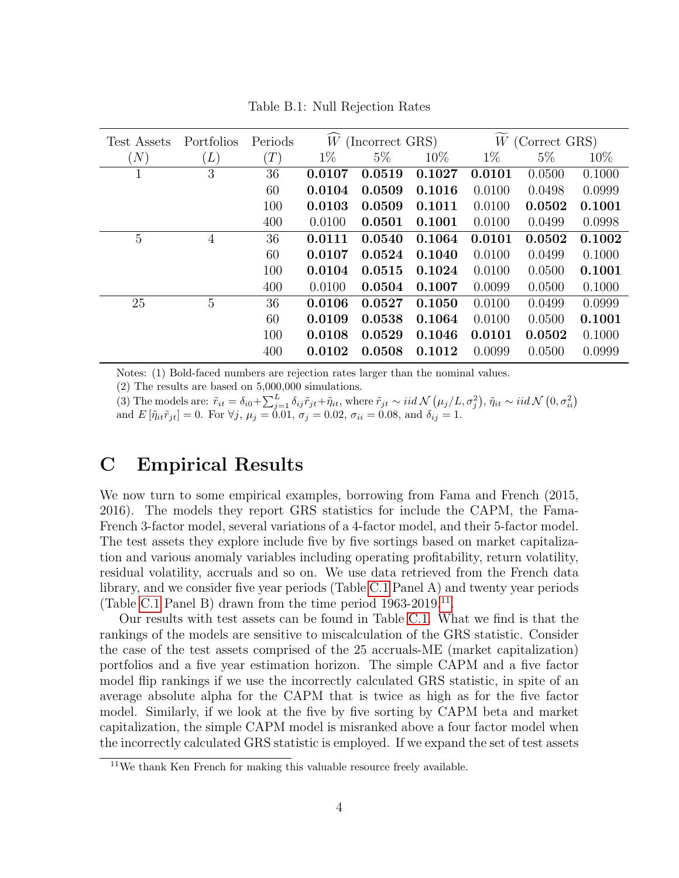<span id="page-13-0"></span>

| Test Assets | Portfolios     | Periods       | W<br>(Incorrect GRS) |        | $W$ (Correct GRS) |        |        |        |
|-------------|----------------|---------------|----------------------|--------|-------------------|--------|--------|--------|
| (N)         | (L)            | $^{\prime}T)$ | $1\%$                | $5\%$  | $10\%$            | $1\%$  | $5\%$  | $10\%$ |
| $\mathbf 1$ | 3              | 36            | 0.0107               | 0.0519 | 0.1027            | 0.0101 | 0.0500 | 0.1000 |
|             |                | 60            | 0.0104               | 0.0509 | 0.1016            | 0.0100 | 0.0498 | 0.0999 |
|             |                | 100           | 0.0103               | 0.0509 | 0.1011            | 0.0100 | 0.0502 | 0.1001 |
|             |                | 400           | 0.0100               | 0.0501 | 0.1001            | 0.0100 | 0.0499 | 0.0998 |
| 5           | 4              | 36            | 0.0111               | 0.0540 | 0.1064            | 0.0101 | 0.0502 | 0.1002 |
|             |                | 60            | 0.0107               | 0.0524 | 0.1040            | 0.0100 | 0.0499 | 0.1000 |
|             |                | 100           | 0.0104               | 0.0515 | 0.1024            | 0.0100 | 0.0500 | 0.1001 |
|             |                | 400           | 0.0100               | 0.0504 | 0.1007            | 0.0099 | 0.0500 | 0.1000 |
| 25          | $\overline{5}$ | 36            | 0.0106               | 0.0527 | 0.1050            | 0.0100 | 0.0499 | 0.0999 |
|             |                | 60            | 0.0109               | 0.0538 | 0.1064            | 0.0100 | 0.0500 | 0.1001 |
|             |                | 100           | 0.0108               | 0.0529 | 0.1046            | 0.0101 | 0.0502 | 0.1000 |
|             |                | 400           | 0.0102               | 0.0508 | 0.1012            | 0.0099 | 0.0500 | 0.0999 |

Table B.1: Null Rejection Rates

Notes: (1) Bold-faced numbers are rejection rates larger than the nominal values.

(2) The results are based on 5,000,000 simulations.

(3) The models are:  $\tilde{r}_{it} = \delta_{i0} + \sum_{j=1}^{L} \delta_{ij} \tilde{r}_{jt} + \tilde{\eta}_{it}$ , where  $\tilde{r}_{jt} \sim iid \mathcal{N}(\mu_j/L, \sigma_j^2), \tilde{\eta}_{it} \sim iid \mathcal{N}(0, \sigma_{ii}^2)$ and  $E[\tilde{\eta}_{it}\tilde{r}_{jt}] = 0$ . For  $\forall j, \mu_j = 0.01, \sigma_j = 0.02, \sigma_{ii} = 0.08, \text{ and } \delta_{ij} = 1$ .

### <span id="page-13-1"></span>C Empirical Results

We now turn to some empirical examples, borrowing from Fama and French (2015, 2016). The models they report GRS statistics for include the CAPM, the Fama-French 3-factor model, several variations of a 4-factor model, and their 5-factor model. The test assets they explore include five by five sortings based on market capitalization and various anomaly variables including operating profitability, return volatility, residual volatility, accruals and so on. We use data retrieved from the French data library, and we consider five year periods (Table [C.1](#page-14-0) Panel A) and twenty year periods (Table [C.1](#page-14-0) Panel B) drawn from the time period  $1963-2019$ .<sup>[11](#page-0-0)</sup>.

Our results with test assets can be found in Table [C.1.](#page-14-0) What we find is that the rankings of the models are sensitive to miscalculation of the GRS statistic. Consider the case of the test assets comprised of the 25 accruals-ME (market capitalization) portfolios and a five year estimation horizon. The simple CAPM and a five factor model flip rankings if we use the incorrectly calculated GRS statistic, in spite of an average absolute alpha for the CAPM that is twice as high as for the five factor model. Similarly, if we look at the five by five sorting by CAPM beta and market capitalization, the simple CAPM model is misranked above a four factor model when the incorrectly calculated GRS statistic is employed. If we expand the set of test assets

<sup>&</sup>lt;sup>11</sup>We thank Ken French for making this valuable resource freely available.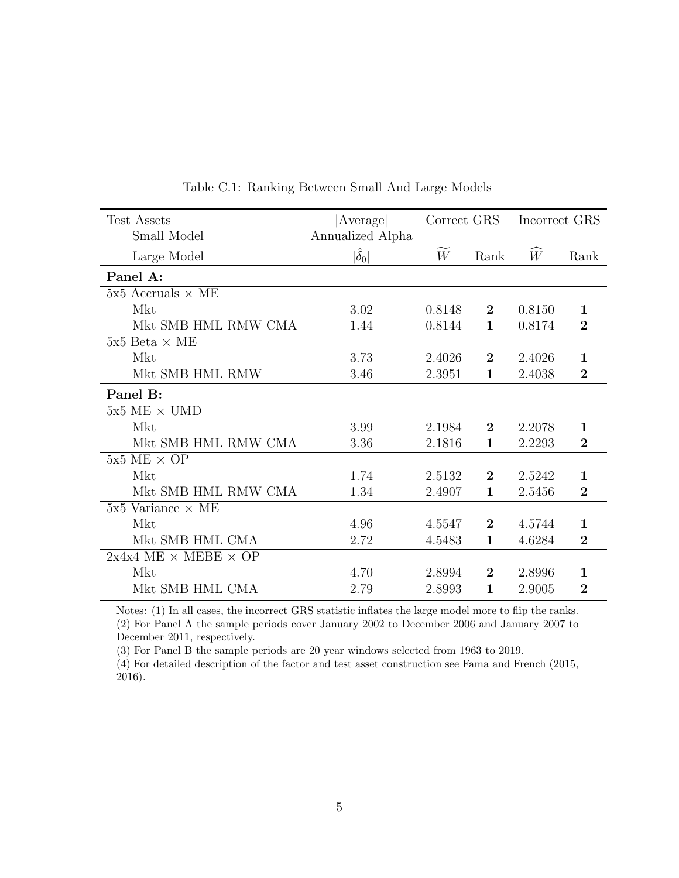<span id="page-14-0"></span>

| Test Assets                          | Average            | Correct GRS |                | Incorrect GRS |                |
|--------------------------------------|--------------------|-------------|----------------|---------------|----------------|
| Small Model                          | Annualized Alpha   |             |                |               |                |
| Large Model                          | $ \hat{\delta}_0 $ | W           | Rank           | $\widehat{W}$ | Rank           |
| Panel A:                             |                    |             |                |               |                |
| $5x5$ Accruals $\times$ ME           |                    |             |                |               |                |
| Mkt                                  | 3.02               | 0.8148      | $\bf{2}$       | 0.8150        | $\mathbf{1}$   |
| Mkt SMB HML RMW CMA                  | 1.44               | 0.8144      | 1              | 0.8174        | $\overline{2}$ |
| $5x5$ Beta $\times$ ME               |                    |             |                |               |                |
| Mkt                                  | 3.73               | 2.4026      | $\overline{2}$ | 2.4026        | 1              |
| Mkt SMB HML RMW                      | 3.46               | 2.3951      | $\mathbf{1}$   | 2.4038        | $\overline{2}$ |
| Panel B:                             |                    |             |                |               |                |
| $5x5$ ME $\times$ UMD                |                    |             |                |               |                |
| Mkt                                  | 3.99               | 2.1984      | $\overline{2}$ | 2.2078        | $\mathbf{1}$   |
| Mkt SMB HML RMW CMA                  | 3.36               | 2.1816      | $\mathbf{1}$   | 2.2293        | $\overline{2}$ |
| $5x5$ ME $\times$ OP                 |                    |             |                |               |                |
| Mkt                                  | 1.74               | 2.5132      | $\overline{2}$ | 2.5242        | $\mathbf{1}$   |
| Mkt SMB HML RMW CMA                  | 1.34               | 2.4907      | $\mathbf{1}$   | 2.5456        | $\overline{2}$ |
| $5x5$ Variance $\times$ ME           |                    |             |                |               |                |
| Mkt                                  | 4.96               | 4.5547      | $\mathbf{2}$   | 4.5744        | 1              |
| Mkt SMB HML CMA                      | 2.72               | 4.5483      | 1              | 4.6284        | $\overline{2}$ |
| $2x4x4$ ME $\times$ MEBE $\times$ OP |                    |             |                |               |                |
| Mkt                                  | 4.70               | 2.8994      | $\overline{2}$ | 2.8996        | $\mathbf 1$    |
| Mkt SMB HML CMA                      | 2.79               | 2.8993      | $\mathbf{1}$   | 2.9005        | $\overline{2}$ |

Table C.1: Ranking Between Small And Large Models

Notes: (1) In all cases, the incorrect GRS statistic inflates the large model more to flip the ranks. (2) For Panel A the sample periods cover January 2002 to December 2006 and January 2007 to December 2011, respectively.

(3) For Panel B the sample periods are 20 year windows selected from 1963 to 2019.

(4) For detailed description of the factor and test asset construction see Fama and French (2015, 2016).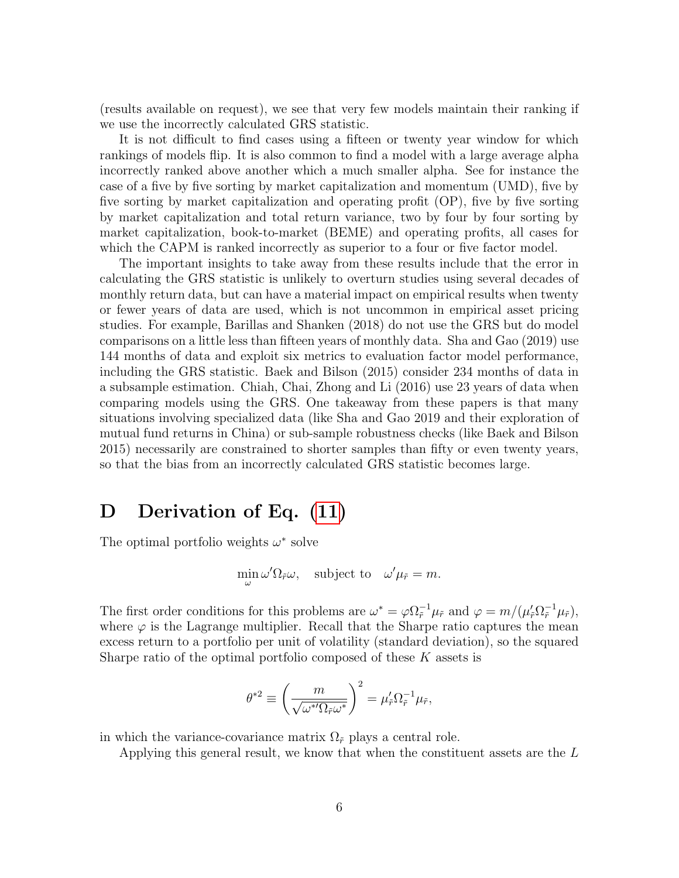(results available on request), we see that very few models maintain their ranking if we use the incorrectly calculated GRS statistic.

It is not difficult to find cases using a fifteen or twenty year window for which rankings of models flip. It is also common to find a model with a large average alpha incorrectly ranked above another which a much smaller alpha. See for instance the case of a five by five sorting by market capitalization and momentum (UMD), five by five sorting by market capitalization and operating profit (OP), five by five sorting by market capitalization and total return variance, two by four by four sorting by market capitalization, book-to-market (BEME) and operating profits, all cases for which the CAPM is ranked incorrectly as superior to a four or five factor model.

The important insights to take away from these results include that the error in calculating the GRS statistic is unlikely to overturn studies using several decades of monthly return data, but can have a material impact on empirical results when twenty or fewer years of data are used, which is not uncommon in empirical asset pricing studies. For example, Barillas and Shanken (2018) do not use the GRS but do model comparisons on a little less than fifteen years of monthly data. Sha and Gao (2019) use 144 months of data and exploit six metrics to evaluation factor model performance, including the GRS statistic. Baek and Bilson (2015) consider 234 months of data in a subsample estimation. Chiah, Chai, Zhong and Li (2016) use 23 years of data when comparing models using the GRS. One takeaway from these papers is that many situations involving specialized data (like Sha and Gao 2019 and their exploration of mutual fund returns in China) or sub-sample robustness checks (like Baek and Bilson 2015) necessarily are constrained to shorter samples than fifty or even twenty years, so that the bias from an incorrectly calculated GRS statistic becomes large.

### <span id="page-15-0"></span>D Derivation of Eq.  $(11)$

The optimal portfolio weights  $\omega^*$  solve

$$
\min_{\omega} \omega' \Omega_{\tilde{r}} \omega, \quad \text{subject to} \quad \omega' \mu_{\tilde{r}} = m.
$$

The first order conditions for this problems are  $\omega^* = \varphi \Omega_{\tilde{r}}^{-1} \mu_{\tilde{r}}$  and  $\varphi = m/(\mu_{\tilde{r}}' \Omega_{\tilde{r}}^{-1} \mu_{\tilde{r}})$ , where  $\varphi$  is the Lagrange multiplier. Recall that the Sharpe ratio captures the mean excess return to a portfolio per unit of volatility (standard deviation), so the squared Sharpe ratio of the optimal portfolio composed of these  $K$  assets is

$$
\theta^{*2} \equiv \left(\frac{m}{\sqrt{\omega^{*'}\Omega_{\tilde{r}}\omega^{*}}}\right)^2 = \mu'_{\tilde{r}}\Omega_{\tilde{r}}^{-1}\mu_{\tilde{r}},
$$

in which the variance-covariance matrix  $\Omega_{\tilde{r}}$  plays a central role.

Applying this general result, we know that when the constituent assets are the L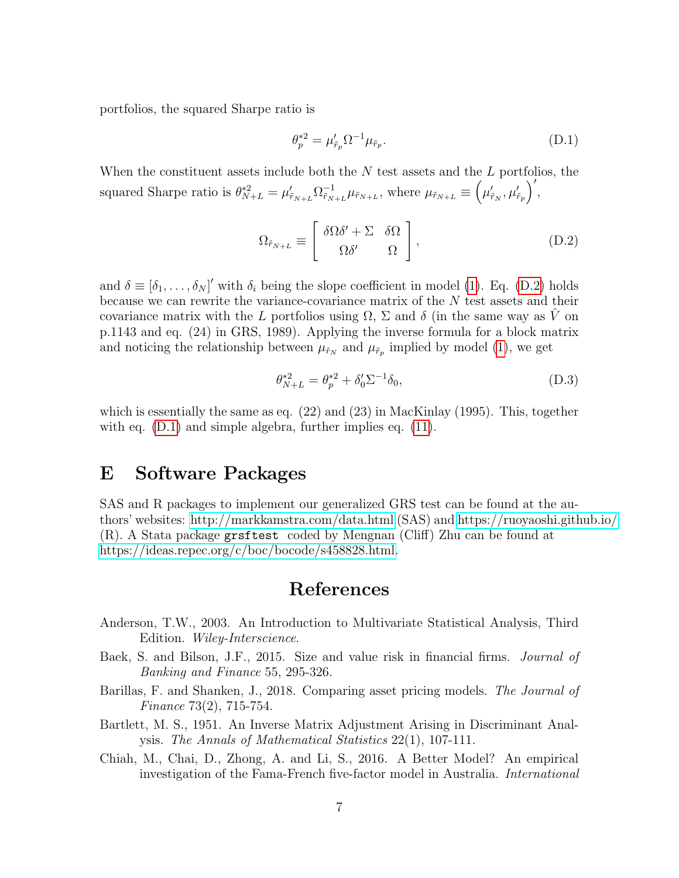portfolios, the squared Sharpe ratio is

<span id="page-16-1"></span>
$$
\theta_p^{*2} = \mu_{\tilde{r}_p}^{\prime} \Omega^{-1} \mu_{\tilde{r}_p}.
$$
\n(D.1)

When the constituent assets include both the  $N$  test assets and the  $L$  portfolios, the squared Sharpe ratio is  $\theta_{N+L}^{*2} = \mu_{\tilde{r}_{N+L}}' \Omega_{\tilde{r}_N}^{-1}$  $\tilde{r}_{N+L}^{-1} \mu_{\tilde{r}_{N+L}}$ , where  $\mu_{\tilde{r}_{N+L}} \equiv (\mu'_{\tilde{r}_N}, \mu'_{\tilde{r}_p})'$ ,

<span id="page-16-0"></span>
$$
\Omega_{\tilde{r}_{N+L}} \equiv \begin{bmatrix} \delta\Omega\delta' + \Sigma & \delta\Omega \\ \Omega\delta' & \Omega \end{bmatrix},
$$
\n(D.2)

and  $\delta \equiv [\delta_1, \ldots, \delta_N]'$  with  $\delta_i$  being the slope coefficient in model [\(1\)](#page-2-1). Eq. [\(D.2\)](#page-16-0) holds because we can rewrite the variance-covariance matrix of the N test assets and their covariance matrix with the L portfolios using  $\Omega$ ,  $\Sigma$  and  $\delta$  (in the same way as  $\tilde{V}$  on p.1143 and eq. (24) in GRS, 1989). Applying the inverse formula for a block matrix and noticing the relationship between  $\mu_{\tilde{r}_N}$  and  $\mu_{\tilde{r}_p}$  implied by model [\(1\)](#page-2-1), we get

$$
\theta_{N+L}^{*2} = \theta_p^{*2} + \delta_0' \Sigma^{-1} \delta_0,\tag{D.3}
$$

which is essentially the same as eq. (22) and (23) in MacKinlay (1995). This, together with eq. [\(D.1\)](#page-16-1) and simple algebra, further implies eq. [\(11\)](#page-7-0).

### E Software Packages

SAS and R packages to implement our generalized GRS test can be found at the authors' websites:<http://markkamstra.com/data.html> (SAS) and<https://ruoyaoshi.github.io/> (R). A Stata package grsftest coded by Mengnan (Cliff) Zhu can be found at [https://ideas.repec.org/c/boc/bocode/s458828.html.](https://ideas.repec.org/c/boc/bocode/s458828.html)

### References

- Anderson, T.W., 2003. An Introduction to Multivariate Statistical Analysis, Third Edition. Wiley-Interscience.
- Baek, S. and Bilson, J.F., 2015. Size and value risk in financial firms. *Journal of* Banking and Finance 55, 295-326.
- Barillas, F. and Shanken, J., 2018. Comparing asset pricing models. The Journal of Finance 73(2), 715-754.
- Bartlett, M. S., 1951. An Inverse Matrix Adjustment Arising in Discriminant Analysis. The Annals of Mathematical Statistics 22(1), 107-111.
- Chiah, M., Chai, D., Zhong, A. and Li, S., 2016. A Better Model? An empirical investigation of the Fama-French five-factor model in Australia. International